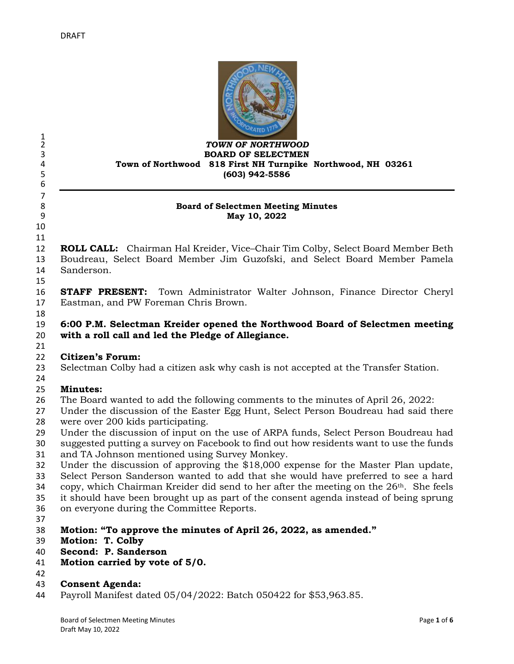

#### *TOWN OF NORTHWOOD* **BOARD OF SELECTMEN Town of Northwood 818 First NH Turnpike Northwood, NH 03261 (603) 942-5586**

#### **Board of Selectmen Meeting Minutes May 10, 2022**

 

 $\frac{1}{2}$ 

 

 **ROLL CALL:** Chairman Hal Kreider, Vice–Chair Tim Colby, Select Board Member Beth Boudreau, Select Board Member Jim Guzofski, and Select Board Member Pamela Sanderson.

 **STAFF PRESENT:** Town Administrator Walter Johnson, Finance Director Cheryl Eastman, and PW Foreman Chris Brown.

 **6:00 P.M. Selectman Kreider opened the Northwood Board of Selectmen meeting with a roll call and led the Pledge of Allegiance.** 

# **Citizen's Forum:**

- Selectman Colby had a citizen ask why cash is not accepted at the Transfer Station.
- 

# **Minutes:**

- The Board wanted to add the following comments to the minutes of April 26, 2022:
- Under the discussion of the Easter Egg Hunt, Select Person Boudreau had said there were over 200 kids participating.
- Under the discussion of input on the use of ARPA funds, Select Person Boudreau had
- suggested putting a survey on Facebook to find out how residents want to use the funds and TA Johnson mentioned using Survey Monkey.
- Under the discussion of approving the \$18,000 expense for the Master Plan update,
- Select Person Sanderson wanted to add that she would have preferred to see a hard
- 34 copy, which Chairman Kreider did send to her after the meeting on the  $26<sup>th</sup>$ . She feels
- it should have been brought up as part of the consent agenda instead of being sprung
- on everyone during the Committee Reports.
- 
- **Motion: "To approve the minutes of April 26, 2022, as amended."**
- **Motion: T. Colby**
- **Second: P. Sanderson**
- **Motion carried by vote of 5/0.**
- 

### **Consent Agenda:**

Payroll Manifest dated 05/04/2022: Batch 050422 for \$53,963.85.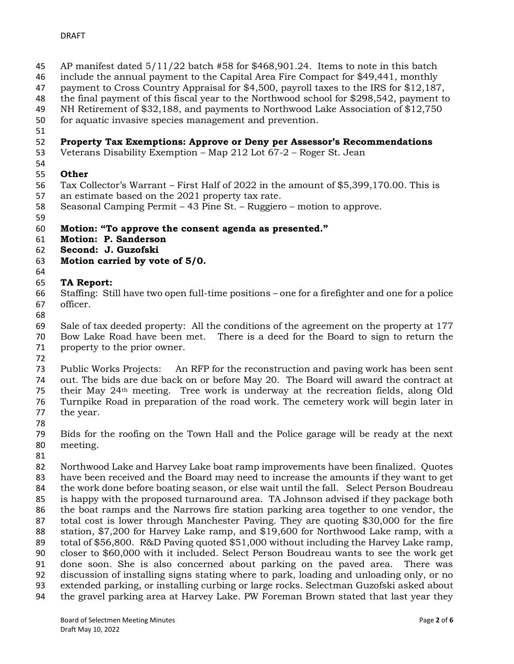- AP manifest dated 5/11/22 batch #58 for \$468,901.24. Items to note in this batch
- include the annual payment to the Capital Area Fire Compact for \$49,441, monthly
- payment to Cross Country Appraisal for \$4,500, payroll taxes to the IRS for \$12,187,
- the final payment of this fiscal year to the Northwood school for \$298,542, payment to
- NH Retirement of \$32,188, and payments to Northwood Lake Association of \$12,750
- for aquatic invasive species management and prevention.
- 

# **Property Tax Exemptions: Approve or Deny per Assessor's Recommendations**

- Veterans Disability Exemption Map 212 Lot 67-2 Roger St. Jean
- **Other**
- Tax Collector's Warrant First Half of 2022 in the amount of \$5,399,170.00. This is
- an estimate based on the 2021 property tax rate.
- Seasonal Camping Permit 43 Pine St. Ruggiero motion to approve.
- 

# **Motion: "To approve the consent agenda as presented."**

- **Motion: P. Sanderson**
- **Second: J. Guzofski**
- **Motion carried by vote of 5/0.**
- 

# **TA Report:**

 Staffing: Still have two open full-time positions – one for a firefighter and one for a police officer.

 Sale of tax deeded property: All the conditions of the agreement on the property at 177 Bow Lake Road have been met. There is a deed for the Board to sign to return the

property to the prior owner.

 Public Works Projects: An RFP for the reconstruction and paving work has been sent out. The bids are due back on or before May 20. The Board will award the contract at their May 24th meeting. Tree work is underway at the recreation fields, along Old Turnpike Road in preparation of the road work. The cemetery work will begin later in the year.

 Bids for the roofing on the Town Hall and the Police garage will be ready at the next meeting.

 Northwood Lake and Harvey Lake boat ramp improvements have been finalized. Quotes have been received and the Board may need to increase the amounts if they want to get the work done before boating season, or else wait until the fall. Select Person Boudreau is happy with the proposed turnaround area. TA Johnson advised if they package both the boat ramps and the Narrows fire station parking area together to one vendor, the total cost is lower through Manchester Paving. They are quoting \$30,000 for the fire station, \$7,200 for Harvey Lake ramp, and \$19,600 for Northwood Lake ramp, with a total of \$56,800. R&D Paving quoted \$51,000 without including the Harvey Lake ramp, closer to \$60,000 with it included. Select Person Boudreau wants to see the work get done soon. She is also concerned about parking on the paved area. There was discussion of installing signs stating where to park, loading and unloading only, or no extended parking, or installing curbing or large rocks. Selectman Guzofski asked about the gravel parking area at Harvey Lake. PW Foreman Brown stated that last year they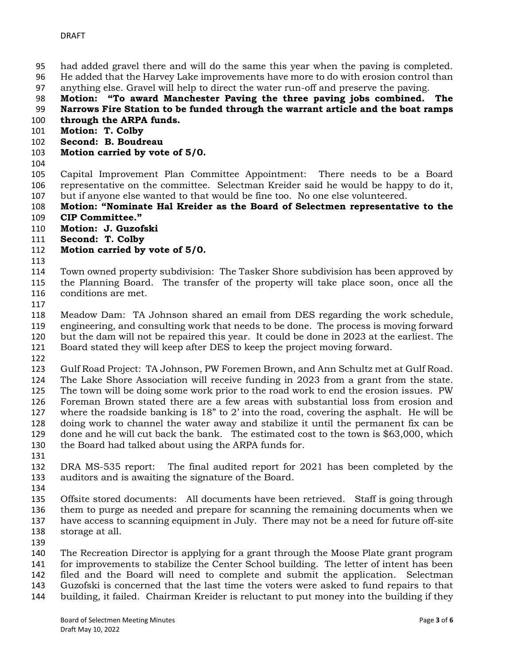- had added gravel there and will do the same this year when the paving is completed.
- He added that the Harvey Lake improvements have more to do with erosion control than
- anything else. Gravel will help to direct the water run-off and preserve the paving.
- **Motion: "To award Manchester Paving the three paving jobs combined. The Narrows Fire Station to be funded through the warrant article and the boat ramps**
- **through the ARPA funds.**
- **Motion: T. Colby**
- **Second: B. Boudreau**
- **Motion carried by vote of 5/0.**
- 

 Capital Improvement Plan Committee Appointment: There needs to be a Board representative on the committee. Selectman Kreider said he would be happy to do it, but if anyone else wanted to that would be fine too. No one else volunteered.

 **Motion: "Nominate Hal Kreider as the Board of Selectmen representative to the CIP Committee."**

- **Motion: J. Guzofski**
- **Second: T. Colby**
- **Motion carried by vote of 5/0.**
- 

 Town owned property subdivision: The Tasker Shore subdivision has been approved by the Planning Board. The transfer of the property will take place soon, once all the conditions are met.

 Meadow Dam: TA Johnson shared an email from DES regarding the work schedule, engineering, and consulting work that needs to be done. The process is moving forward but the dam will not be repaired this year. It could be done in 2023 at the earliest. The Board stated they will keep after DES to keep the project moving forward.

 Gulf Road Project: TA Johnson, PW Foremen Brown, and Ann Schultz met at Gulf Road. The Lake Shore Association will receive funding in 2023 from a grant from the state. The town will be doing some work prior to the road work to end the erosion issues. PW Foreman Brown stated there are a few areas with substantial loss from erosion and where the roadside banking is 18" to 2' into the road, covering the asphalt. He will be doing work to channel the water away and stabilize it until the permanent fix can be done and he will cut back the bank. The estimated cost to the town is \$63,000, which the Board had talked about using the ARPA funds for.

 DRA MS-535 report: The final audited report for 2021 has been completed by the auditors and is awaiting the signature of the Board.

 Offsite stored documents: All documents have been retrieved. Staff is going through them to purge as needed and prepare for scanning the remaining documents when we have access to scanning equipment in July. There may not be a need for future off-site storage at all.

 The Recreation Director is applying for a grant through the Moose Plate grant program for improvements to stabilize the Center School building. The letter of intent has been filed and the Board will need to complete and submit the application. Selectman Guzofski is concerned that the last time the voters were asked to fund repairs to that

building, it failed. Chairman Kreider is reluctant to put money into the building if they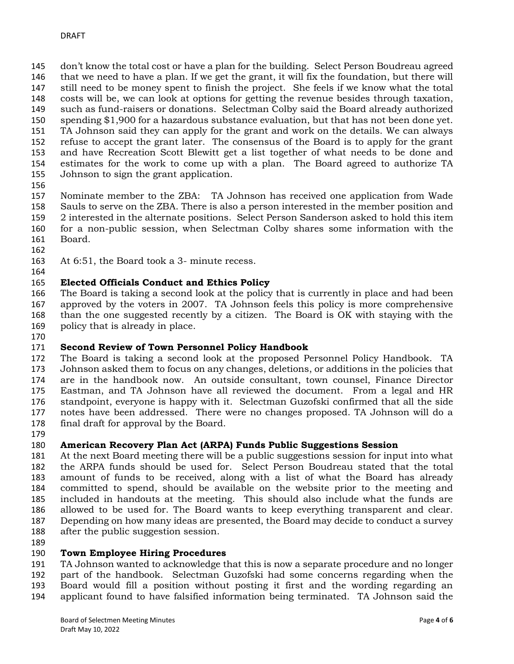don't know the total cost or have a plan for the building. Select Person Boudreau agreed that we need to have a plan. If we get the grant, it will fix the foundation, but there will still need to be money spent to finish the project. She feels if we know what the total costs will be, we can look at options for getting the revenue besides through taxation, such as fund-raisers or donations. Selectman Colby said the Board already authorized spending \$1,900 for a hazardous substance evaluation, but that has not been done yet. TA Johnson said they can apply for the grant and work on the details. We can always refuse to accept the grant later. The consensus of the Board is to apply for the grant and have Recreation Scott Blewitt get a list together of what needs to be done and estimates for the work to come up with a plan. The Board agreed to authorize TA Johnson to sign the grant application.

 Nominate member to the ZBA: TA Johnson has received one application from Wade Sauls to serve on the ZBA. There is also a person interested in the member position and 2 interested in the alternate positions. Select Person Sanderson asked to hold this item for a non-public session, when Selectman Colby shares some information with the Board.

At 6:51, the Board took a 3- minute recess.

# **Elected Officials Conduct and Ethics Policy**

 The Board is taking a second look at the policy that is currently in place and had been approved by the voters in 2007. TA Johnson feels this policy is more comprehensive than the one suggested recently by a citizen. The Board is OK with staying with the policy that is already in place.

# **Second Review of Town Personnel Policy Handbook**

 The Board is taking a second look at the proposed Personnel Policy Handbook. TA Johnson asked them to focus on any changes, deletions, or additions in the policies that are in the handbook now. An outside consultant, town counsel, Finance Director Eastman, and TA Johnson have all reviewed the document. From a legal and HR standpoint, everyone is happy with it. Selectman Guzofski confirmed that all the side notes have been addressed. There were no changes proposed. TA Johnson will do a final draft for approval by the Board.

### **American Recovery Plan Act (ARPA) Funds Public Suggestions Session**

 At the next Board meeting there will be a public suggestions session for input into what the ARPA funds should be used for. Select Person Boudreau stated that the total amount of funds to be received, along with a list of what the Board has already committed to spend, should be available on the website prior to the meeting and included in handouts at the meeting. This should also include what the funds are allowed to be used for. The Board wants to keep everything transparent and clear. Depending on how many ideas are presented, the Board may decide to conduct a survey after the public suggestion session.

### **Town Employee Hiring Procedures**

 TA Johnson wanted to acknowledge that this is now a separate procedure and no longer part of the handbook. Selectman Guzofski had some concerns regarding when the Board would fill a position without posting it first and the wording regarding an applicant found to have falsified information being terminated. TA Johnson said the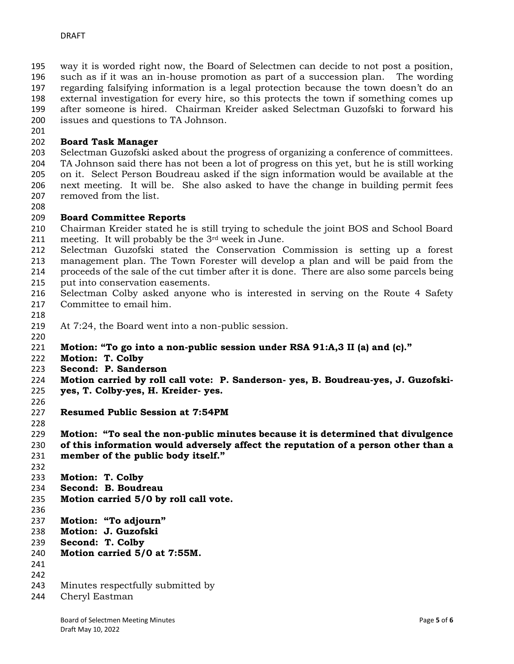way it is worded right now, the Board of Selectmen can decide to not post a position, such as if it was an in-house promotion as part of a succession plan. The wording regarding falsifying information is a legal protection because the town doesn't do an external investigation for every hire, so this protects the town if something comes up after someone is hired. Chairman Kreider asked Selectman Guzofski to forward his issues and questions to TA Johnson.

### **Board Task Manager**

 Selectman Guzofski asked about the progress of organizing a conference of committees. TA Johnson said there has not been a lot of progress on this yet, but he is still working on it. Select Person Boudreau asked if the sign information would be available at the next meeting. It will be. She also asked to have the change in building permit fees removed from the list.

### **Board Committee Reports**

- Chairman Kreider stated he is still trying to schedule the joint BOS and School Board meeting. It will probably be the 3rd week in June.
- Selectman Guzofski stated the Conservation Commission is setting up a forest management plan. The Town Forester will develop a plan and will be paid from the proceeds of the sale of the cut timber after it is done. There are also some parcels being
- put into conservation easements.
- Selectman Colby asked anyone who is interested in serving on the Route 4 Safety Committee to email him.
- 
- At 7:24, the Board went into a non-public session.
- 
- **Motion: "To go into a non-public session under RSA 91:A,3 II (a) and (c)."**
- **Motion: T. Colby**
- **Second: P. Sanderson**
- **Motion carried by roll call vote: P. Sanderson- yes, B. Boudreau-yes, J. Guzofski-**
- **yes, T. Colby-yes, H. Kreider- yes.**
- 
- **Resumed Public Session at 7:54PM**
- 

**Motion: "To seal the non-public minutes because it is determined that divulgence** 

- **of this information would adversely affect the reputation of a person other than a member of the public body itself."**
- 
- **Motion: T. Colby**
- **Second: B. Boudreau**
- **Motion carried 5/0 by roll call vote.**
- 
- **Motion: "To adjourn"**
- **Motion: J. Guzofski**
- **Second: T. Colby**
- **Motion carried 5/0 at 7:55M.**
- 
- 
- Minutes respectfully submitted by
- Cheryl Eastman